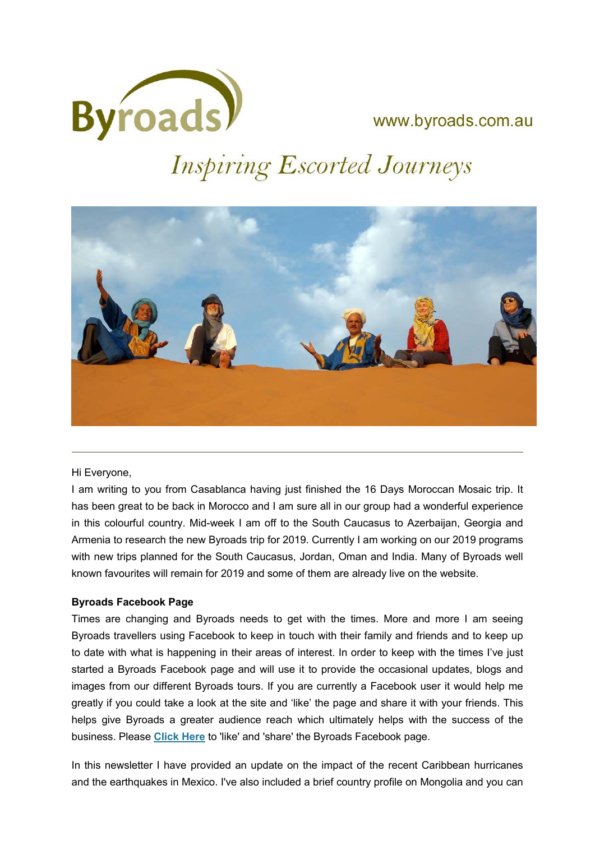

www.byroads.com.au

# **Inspiring Escorted Journeys**



### Hi Everyone,

I am writing to you from Casablanca having just finished the 16 Days Moroccan Mosaic trip. It has been great to be back in Morocco and I am sure all in our group had a wonderful experience in this colourful country. Mid-week I am off to the South Caucasus to Azerbaijan, Georgia and Armenia to research the new Byroads trip for 2019. Currently I am working on our 2019 programs with new trips planned for the South Caucasus, Jordan, Oman and India. Many of Byroads well known favourites will remain for 2019 and some of them are already live on the website.

# **Byroads Facebook Page**

Times are changing and Byroads needs to get with the times. More and more I am seeing Byroads travellers using Facebook to keep in touch with their family and friends and to keep up to date with what is happening in their areas of interest. In order to keep with the times I've just started a Byroads Facebook page and will use it to provide the occasional updates, blogs and images from our different Byroads tours. If you are currently a Facebook user it would help me greatly if you could take a look at the site and 'like' the page and share it with your friends. This helps give Byroads a greater audience reach which ultimately helps with the success of the business. Please **Click Here** to 'like' and 'share' the Byroads Facebook page.

In this newsletter I have provided an update on the impact of the recent Caribbean hurricanes and the earthquakes in Mexico. I've also included a brief country profile on Mongolia and you can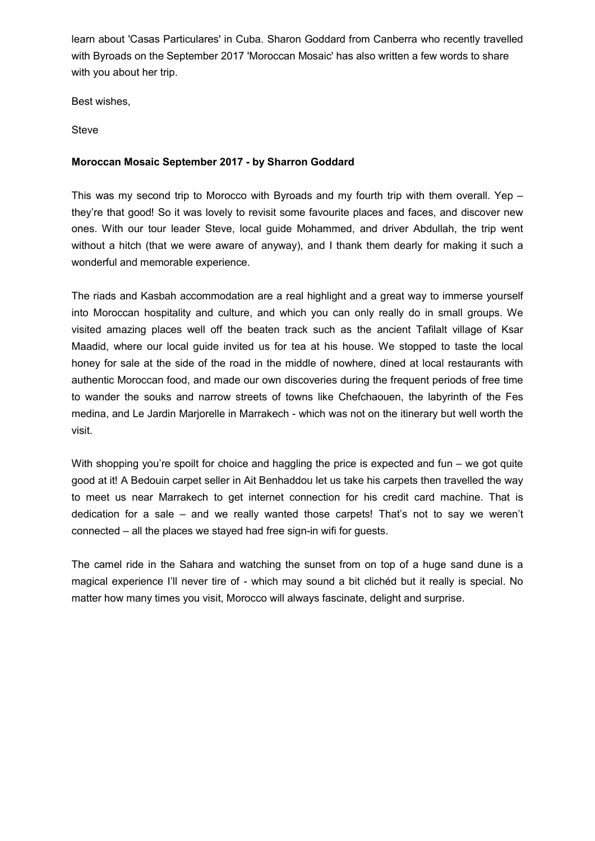learn about 'Casas Particulares' in Cuba. Sharon Goddard from Canberra who recently travelled with Byroads on the September 2017 'Moroccan Mosaic' has also written a few words to share with you about her trip.

Best wishes,

Steve

## **Moroccan Mosaic September 2017 - by Sharron Goddard**

This was my second trip to Morocco with Byroads and my fourth trip with them overall. Yep – they're that good! So it was lovely to revisit some favourite places and faces, and discover new ones. With our tour leader Steve, local guide Mohammed, and driver Abdullah, the trip went without a hitch (that we were aware of anyway), and I thank them dearly for making it such a wonderful and memorable experience.

The riads and Kasbah accommodation are a real highlight and a great way to immerse yourself into Moroccan hospitality and culture, and which you can only really do in small groups. We visited amazing places well off the beaten track such as the ancient Tafilalt village of Ksar Maadid, where our local guide invited us for tea at his house. We stopped to taste the local honey for sale at the side of the road in the middle of nowhere, dined at local restaurants with authentic Moroccan food, and made our own discoveries during the frequent periods of free time to wander the souks and narrow streets of towns like Chefchaouen, the labyrinth of the Fes medina, and Le Jardin Marjorelle in Marrakech - which was not on the itinerary but well worth the visit.

With shopping you're spoilt for choice and haggling the price is expected and fun – we got quite good at it! A Bedouin carpet seller in Ait Benhaddou let us take his carpets then travelled the way to meet us near Marrakech to get internet connection for his credit card machine. That is dedication for a sale – and we really wanted those carpets! That's not to say we weren't connected – all the places we stayed had free sign-in wifi for guests.

The camel ride in the Sahara and watching the sunset from on top of a huge sand dune is a magical experience I'll never tire of - which may sound a bit clichéd but it really is special. No matter how many times you visit, Morocco will always fascinate, delight and surprise.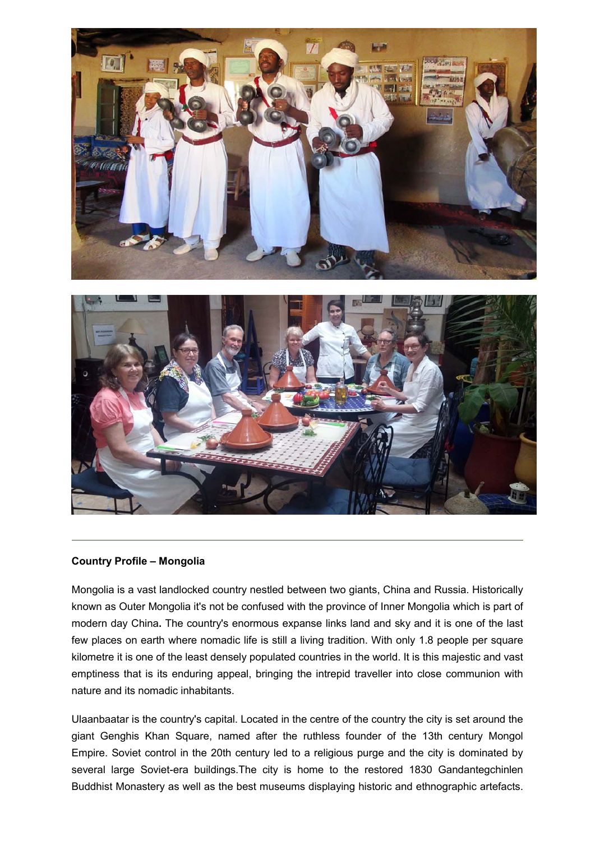

#### **Country Profile – Mongolia**

Mongolia is a vast landlocked country nestled between two giants, China and Russia. Historically known as Outer Mongolia it's not be confused with the province of Inner Mongolia which is part of modern day China**.** The country's enormous expanse links land and sky and it is one of the last few places on earth where nomadic life is still a living tradition. With only 1.8 people per square kilometre it is one of the least densely populated countries in the world. It is this majestic and vast emptiness that is its enduring appeal, bringing the intrepid traveller into close communion with nature and its nomadic inhabitants.

Ulaanbaatar is the country's capital. Located in the centre of the country the city is set around the giant Genghis Khan Square, named after the ruthless founder of the 13th century Mongol Empire. Soviet control in the 20th century led to a religious purge and the city is dominated by several large Soviet-era buildings.The city is home to the restored 1830 Gandantegchinlen Buddhist Monastery as well as the best museums displaying historic and ethnographic artefacts.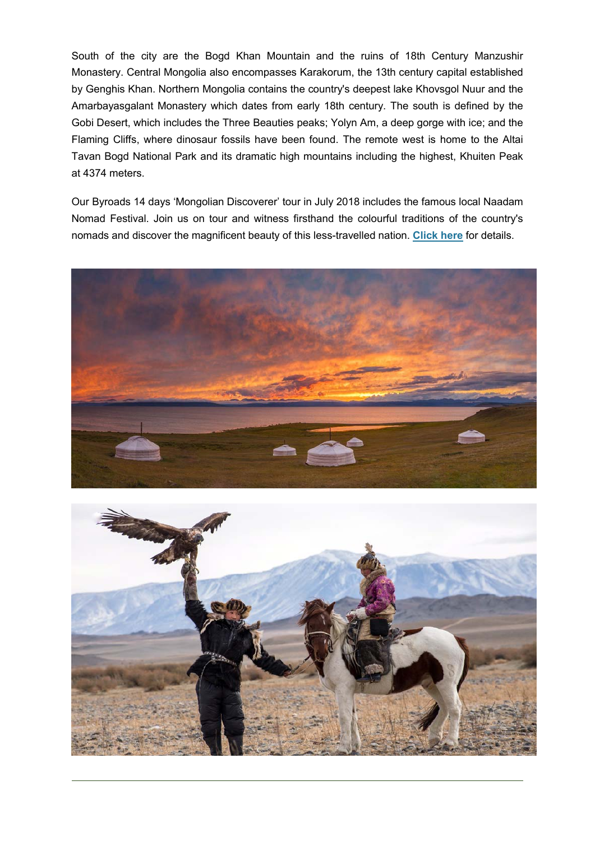South of the city are the Bogd Khan Mountain and the ruins of 18th Century Manzushir Monastery. Central Mongolia also encompasses Karakorum, the 13th century capital established by Genghis Khan. Northern Mongolia contains the country's deepest lake Khovsgol Nuur and the Amarbayasgalant Monastery which dates from early 18th century. The south is defined by the Gobi Desert, which includes the Three Beauties peaks; Yolyn Am, a deep gorge with ice; and the Flaming Cliffs, where dinosaur fossils have been found. The remote west is home to the Altai Tavan Bogd National Park and its dramatic high mountains including the highest, Khuiten Peak at 4374 meters.

Our Byroads 14 days 'Mongolian Discoverer' tour in July 2018 includes the famous local Naadam Nomad Festival. Join us on tour and witness firsthand the colourful traditions of the country's nomads and discover the magnificent beauty of this less-travelled nation. **Click here** for details.



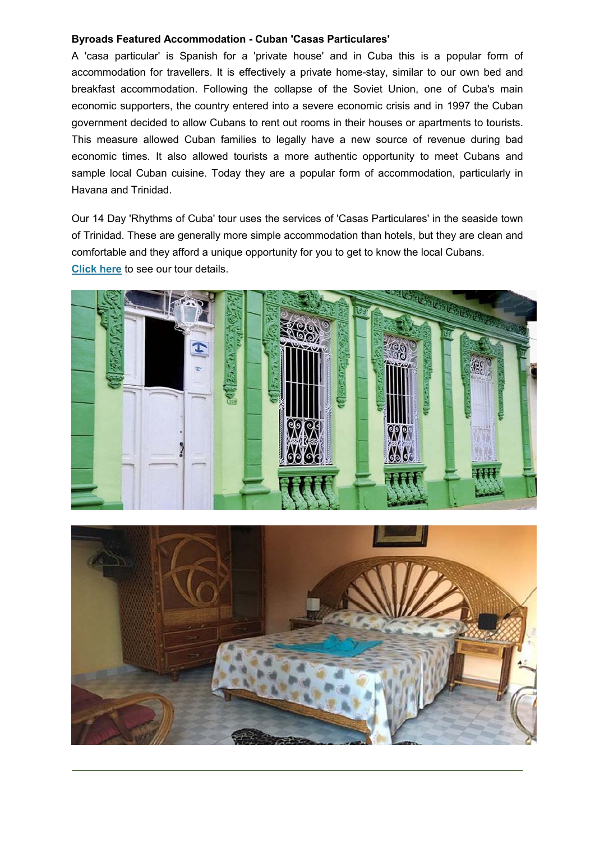#### **Byroads Featured Accommodation - Cuban 'Casas Particulares'**

A 'casa particular' is Spanish for a 'private house' and in Cuba this is a popular form of accommodation for travellers. It is effectively a private home-stay, similar to our own bed and breakfast accommodation. Following the collapse of the Soviet Union, one of Cuba's main economic supporters, the country entered into a severe economic crisis and in 1997 the Cuban government decided to allow Cubans to rent out rooms in their houses or apartments to tourists. This measure allowed Cuban families to legally have a new source of revenue during bad economic times. It also allowed tourists a more authentic opportunity to meet Cubans and sample local Cuban cuisine. Today they are a popular form of accommodation, particularly in Havana and Trinidad.

Our 14 Day 'Rhythms of Cuba' tour uses the services of 'Casas Particulares' in the seaside town of Trinidad. These are generally more simple accommodation than hotels, but they are clean and comfortable and they afford a unique opportunity for you to get to know the local Cubans. **Click here** to see our tour details.